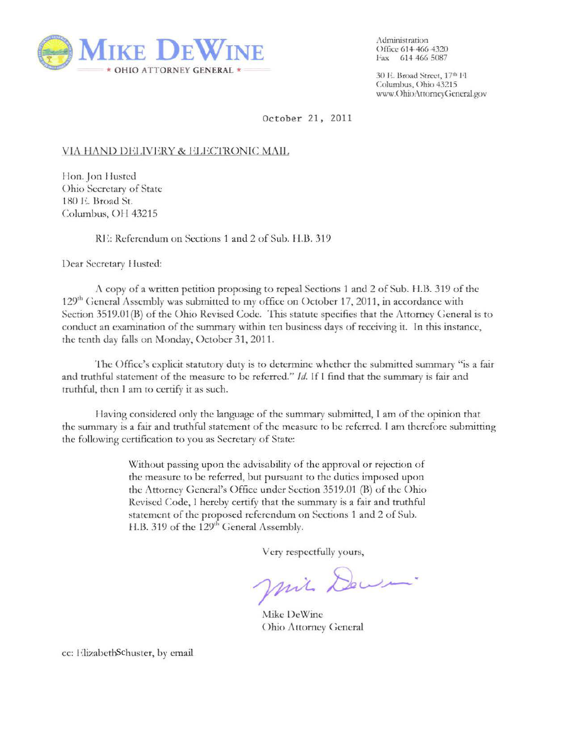

,\dminisl rarion Office 614 466 4320 Fax 614 *466* 5087

30 E. Broad Street, 17<sup>th</sup> Fl Columbus, Ohio 43215 www.OhioAttomeyGeneral.gov

October 21 , 2011

## VIA HAND DELIVERY & ELECTRONIC MAIL

Hon. Jon Husted Ohio Secretary of State 180 E. Broad St. Columbus, OH 43215

RE: Referendum on Sections 1 and 2 of Sub. II.B. 319

Dear Secretary I lusted:

1\ copy of a written petition proposing to repeal Sections 1 and 2 of Sub. • LB. 319 of the 129<sup>th</sup> General Assembly was submitted to my office on October 17, 2011, in accordance with Section 3519.01 (B) of the Ohio Revised Code. This statute specifics that the Attorney General is to conduct an examination of the summary within ten business days of receiving it. In this instance, the tenth day falls on Monday, October 31,2011.

The Office's explicit statutory duty is to determine whether the submitted summary "is a fair and truthful statement of the measure to be referred." */d.* If I find that the summary is fair and truthful, then I am to certify it as such.

Having considered only the language of the summary submitted, I am of the opinion that the summary is a fair and truthful statement of the measure to be referred. I am therefore submitting the following certification to you as Secretary of State:

> Without passing upon the advisability of the approval or rejection of the measure to be referred, but pursuant to the duties imposed upon the Attorney General's Office under Section 3519.01 (B) of the Ohio Revised Code, I hereby certify that the summary is a fair and truthful statement of the proposed referendum on Sections 1 and 2 of Sub. H.B. 319 of the 129<sup>th</sup> General Assembly.

> > Very respectfully yours,

Mil Dewer.

Mike DeWinc Ohio Attorney General

cc: ElizabethSchuster, by em